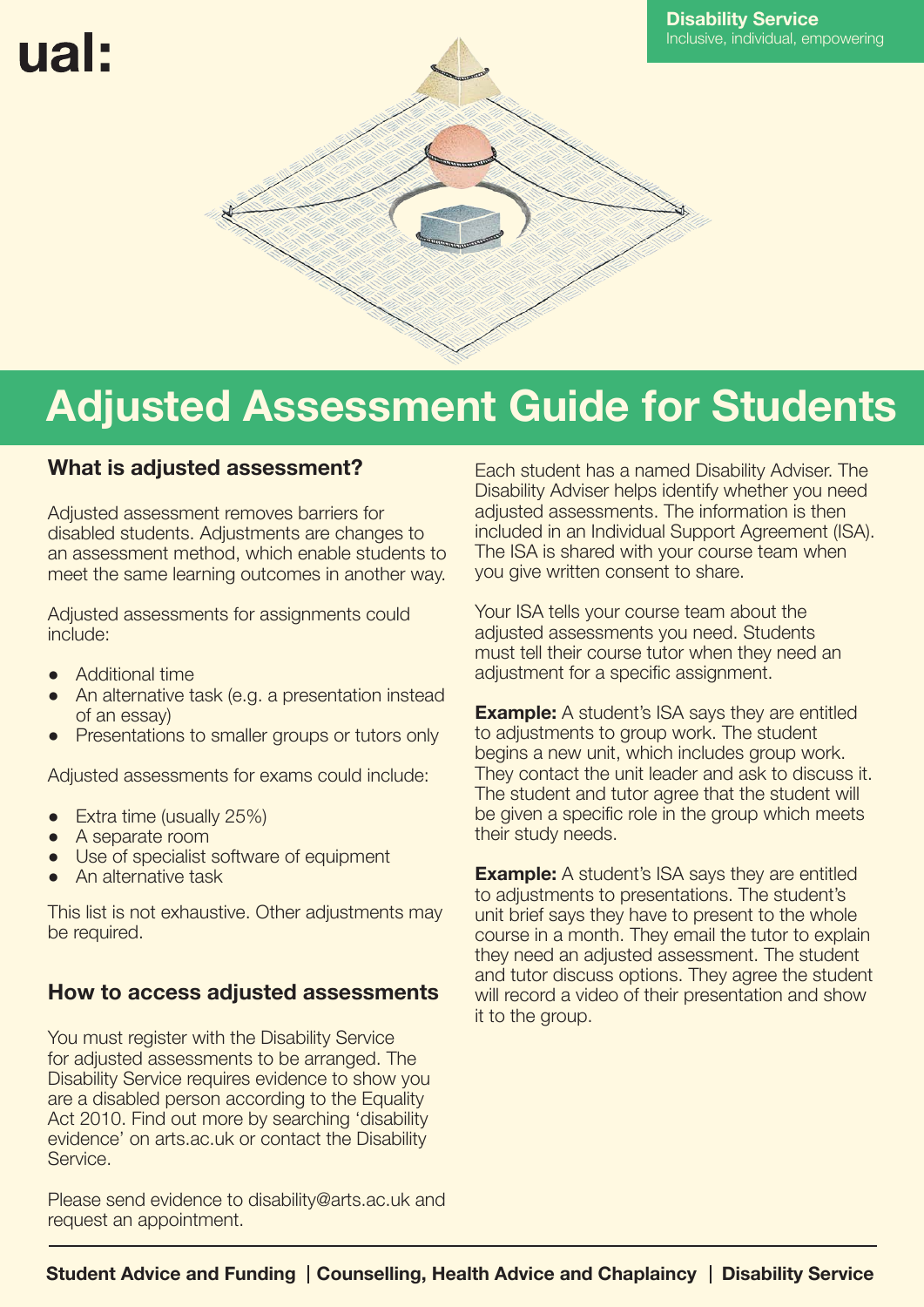# ual:



## **Adjusted Assessment Guide for Students**

### **What is adjusted assessment?**

Adjusted assessment removes barriers for disabled students. Adjustments are changes to an assessment method, which enable students to meet the same learning outcomes in another way.

Adjusted assessments for assignments could include:

- **●** Additional time
- An alternative task (e.g. a presentation instead of an essay)
- Presentations to smaller groups or tutors only

Adjusted assessments for exams could include:

- **Extra time (usually 25%)**
- **●** A separate room
- Use of specialist software of equipment
- **●** An alternative task

This list is not exhaustive. Other adjustments may be required.

### **How to access adjusted assessments**

You must register with the Disability Service for adjusted assessments to be arranged. The Disability Service requires evidence to show you are a disabled person according to the Equality Act 2010. Find out more by searching 'disability evidence' on arts.ac.uk or contact the Disability Service.

Please send evidence to disability@arts.ac.uk and request an appointment.

Each student has a named Disability Adviser. The Disability Adviser helps identify whether you need adjusted assessments. The information is then included in an Individual Support Agreement (ISA). The ISA is shared with your course team when you give written consent to share.

Your ISA tells your course team about the adjusted assessments you need. Students must tell their course tutor when they need an adjustment for a specific assignment.

**Example:** A student's ISA says they are entitled to adjustments to group work. The student begins a new unit, which includes group work. They contact the unit leader and ask to discuss it. The student and tutor agree that the student will be given a specific role in the group which meets their study needs.

**Example:** A student's ISA says they are entitled to adjustments to presentations. The student's unit brief says they have to present to the whole course in a month. They email the tutor to explain they need an adjusted assessment. The student and tutor discuss options. They agree the student will record a video of their presentation and show it to the group.